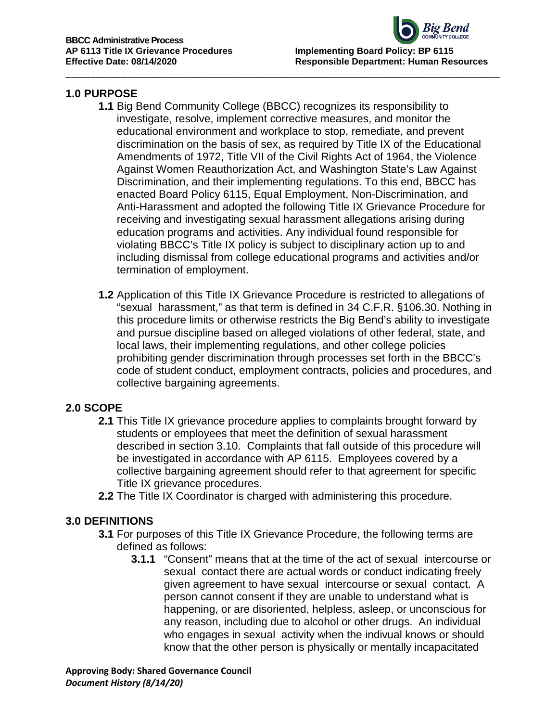## **1.0 PURPOSE**

**1.1** Big Bend Community College (BBCC) recognizes its responsibility to investigate, resolve, implement corrective measures, and monitor the educational environment and workplace to stop, remediate, and prevent discrimination on the basis of sex, as required by Title IX of the Educational Amendments of 1972, Title VII of the Civil Rights Act of 1964, the Violence Against Women Reauthorization Act, and Washington State's Law Against Discrimination, and their implementing regulations. To this end, BBCC has enacted Board Policy 6115, Equal Employment, Non-Discrimination, and Anti-Harassment and adopted the following Title IX Grievance Procedure for receiving and investigating sexual harassment allegations arising during education programs and activities. Any individual found responsible for violating BBCC's Title IX policy is subject to disciplinary action up to and including dismissal from college educational programs and activities and/or termination of employment.

\_\_\_\_\_\_\_\_\_\_\_\_\_\_\_\_\_\_\_\_\_\_\_\_\_\_\_\_\_\_\_\_\_\_\_\_\_\_\_\_\_\_\_\_\_\_\_\_\_\_\_\_\_\_\_\_\_\_\_\_\_\_\_\_\_\_\_\_\_\_\_\_\_\_\_\_\_\_\_\_\_\_\_\_\_\_\_

**1.2** Application of this Title IX Grievance Procedure is restricted to allegations of "sexual harassment," as that term is defined in 34 C.F.R. §106.30. Nothing in this procedure limits or otherwise restricts the Big Bend's ability to investigate and pursue discipline based on alleged violations of other federal, state, and local laws, their implementing regulations, and other college policies prohibiting gender discrimination through processes set forth in the BBCC's code of student conduct, employment contracts, policies and procedures, and collective bargaining agreements.

## **2.0 SCOPE**

- **2.1** This Title IX grievance procedure applies to complaints brought forward by students or employees that meet the definition of sexual harassment described in section 3.10. Complaints that fall outside of this procedure will be investigated in accordance with AP 6115. Employees covered by a collective bargaining agreement should refer to that agreement for specific Title IX grievance procedures.
- **2.2** The Title IX Coordinator is charged with administering this procedure.

## **3.0 DEFINITIONS**

- **3.1** For purposes of this Title IX Grievance Procedure, the following terms are defined as follows:
	- **3.1.1** "Consent" means that at the time of the act of sexual intercourse or sexual contact there are actual words or conduct indicating freely given agreement to have sexual intercourse or sexual contact. A person cannot consent if they are unable to understand what is happening, or are disoriented, helpless, asleep, or unconscious for any reason, including due to alcohol or other drugs. An individual who engages in sexual activity when the indivual knows or should know that the other person is physically or mentally incapacitated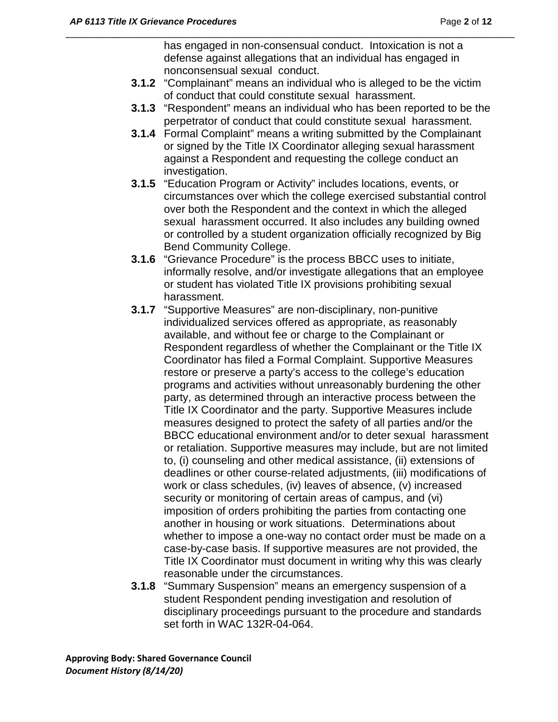has engaged in non-consensual conduct. Intoxication is not a defense against allegations that an individual has engaged in nonconsensual sexual conduct.

**3.1.2** "Complainant" means an individual who is alleged to be the victim of conduct that could constitute sexual harassment.

- **3.1.3** "Respondent" means an individual who has been reported to be the perpetrator of conduct that could constitute sexual harassment.
- **3.1.4** Formal Complaint" means a writing submitted by the Complainant or signed by the Title IX Coordinator alleging sexual harassment against a Respondent and requesting the college conduct an investigation.
- **3.1.5** "Education Program or Activity" includes locations, events, or circumstances over which the college exercised substantial control over both the Respondent and the context in which the alleged sexual harassment occurred. It also includes any building owned or controlled by a student organization officially recognized by Big Bend Community College.
- **3.1.6** "Grievance Procedure" is the process BBCC uses to initiate, informally resolve, and/or investigate allegations that an employee or student has violated Title IX provisions prohibiting sexual harassment.
- **3.1.7** "Supportive Measures" are non-disciplinary, non-punitive individualized services offered as appropriate, as reasonably available, and without fee or charge to the Complainant or Respondent regardless of whether the Complainant or the Title IX Coordinator has filed a Formal Complaint. Supportive Measures restore or preserve a party's access to the college's education programs and activities without unreasonably burdening the other party, as determined through an interactive process between the Title IX Coordinator and the party. Supportive Measures include measures designed to protect the safety of all parties and/or the BBCC educational environment and/or to deter sexual harassment or retaliation. Supportive measures may include, but are not limited to, (i) counseling and other medical assistance, (ii) extensions of deadlines or other course-related adjustments, (iii) modifications of work or class schedules, (iv) leaves of absence, (v) increased security or monitoring of certain areas of campus, and (vi) imposition of orders prohibiting the parties from contacting one another in housing or work situations. Determinations about whether to impose a one-way no contact order must be made on a case-by-case basis. If supportive measures are not provided, the Title IX Coordinator must document in writing why this was clearly reasonable under the circumstances.
- **3.1.8** "Summary Suspension" means an emergency suspension of a student Respondent pending investigation and resolution of disciplinary proceedings pursuant to the procedure and standards set forth in WAC 132R-04-064.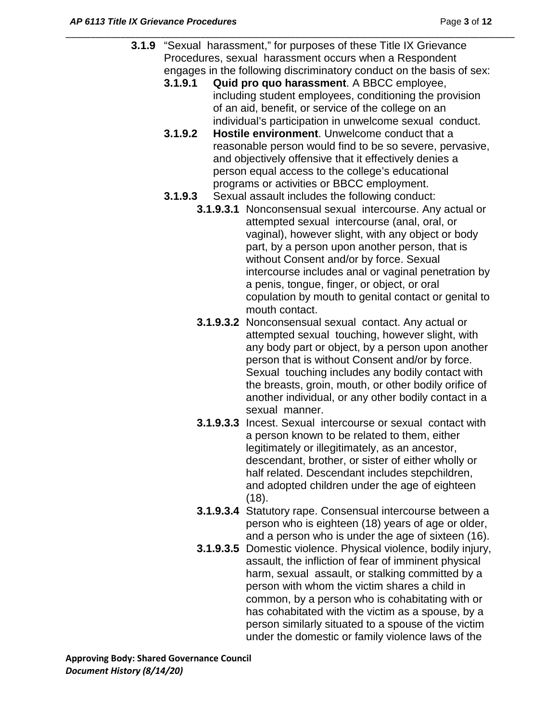**3.1.9** "Sexual harassment," for purposes of these Title IX Grievance Procedures, sexual harassment occurs when a Respondent engages in the following discriminatory conduct on the basis of sex:

- **3.1.9.1 Quid pro quo harassment**. A BBCC employee, including student employees, conditioning the provision of an aid, benefit, or service of the college on an individual's participation in unwelcome sexual conduct.
- **3.1.9.2 Hostile environment**. Unwelcome conduct that a reasonable person would find to be so severe, pervasive, and objectively offensive that it effectively denies a person equal access to the college's educational programs or activities or BBCC employment.
- **3.1.9.3** Sexual assault includes the following conduct:
	- **3.1.9.3.1** Nonconsensual sexual intercourse. Any actual or attempted sexual intercourse (anal, oral, or vaginal), however slight, with any object or body part, by a person upon another person, that is without Consent and/or by force. Sexual intercourse includes anal or vaginal penetration by a penis, tongue, finger, or object, or oral copulation by mouth to genital contact or genital to mouth contact.
	- **3.1.9.3.2** Nonconsensual sexual contact. Any actual or attempted sexual touching, however slight, with any body part or object, by a person upon another person that is without Consent and/or by force. Sexual touching includes any bodily contact with the breasts, groin, mouth, or other bodily orifice of another individual, or any other bodily contact in a sexual manner.
	- **3.1.9.3.3** Incest. Sexual intercourse or sexual contact with a person known to be related to them, either legitimately or illegitimately, as an ancestor, descendant, brother, or sister of either wholly or half related. Descendant includes stepchildren, and adopted children under the age of eighteen (18).
	- **3.1.9.3.4** Statutory rape. Consensual intercourse between a person who is eighteen (18) years of age or older, and a person who is under the age of sixteen (16).
	- **3.1.9.3.5** Domestic violence. Physical violence, bodily injury, assault, the infliction of fear of imminent physical harm, sexual assault, or stalking committed by a person with whom the victim shares a child in common, by a person who is cohabitating with or has cohabitated with the victim as a spouse, by a person similarly situated to a spouse of the victim under the domestic or family violence laws of the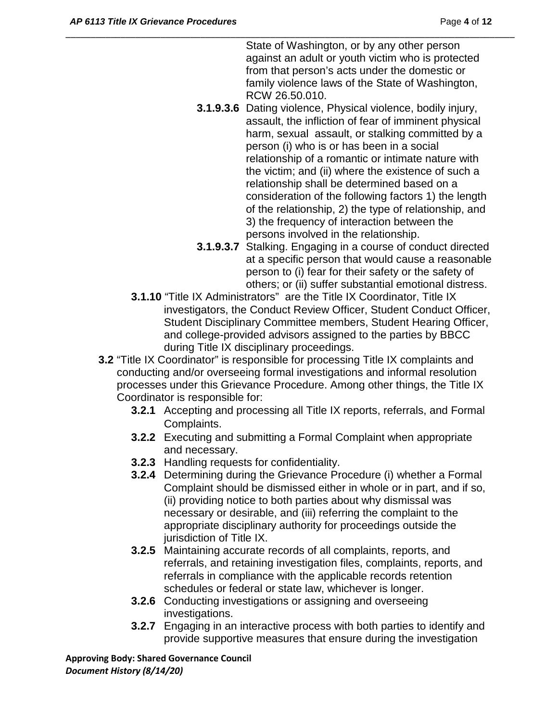State of Washington, or by any other person against an adult or youth victim who is protected from that person's acts under the domestic or family violence laws of the State of Washington, RCW 26.50.010.

- **3.1.9.3.6** Dating violence, Physical violence, bodily injury, assault, the infliction of fear of imminent physical harm, sexual assault, or stalking committed by a person (i) who is or has been in a social relationship of a romantic or intimate nature with the victim; and (ii) where the existence of such a relationship shall be determined based on a consideration of the following factors 1) the length of the relationship, 2) the type of relationship, and 3) the frequency of interaction between the persons involved in the relationship.
- **3.1.9.3.7** Stalking. Engaging in a course of conduct directed at a specific person that would cause a reasonable person to (i) fear for their safety or the safety of others; or (ii) suffer substantial emotional distress.
- **3.1.10** "Title IX Administrators" are the Title IX Coordinator, Title IX investigators, the Conduct Review Officer, Student Conduct Officer, Student Disciplinary Committee members, Student Hearing Officer, and college-provided advisors assigned to the parties by BBCC during Title IX disciplinary proceedings.
- **3.2** "Title IX Coordinator" is responsible for processing Title IX complaints and conducting and/or overseeing formal investigations and informal resolution processes under this Grievance Procedure. Among other things, the Title IX Coordinator is responsible for:

\_\_\_\_\_\_\_\_\_\_\_\_\_\_\_\_\_\_\_\_\_\_\_\_\_\_\_\_\_\_\_\_\_\_\_\_\_\_\_\_\_\_\_\_\_\_\_\_\_\_\_\_\_\_\_\_\_\_\_\_\_\_\_\_\_\_\_\_\_\_\_\_\_\_\_\_\_\_\_\_\_\_\_\_\_\_\_\_\_\_

- **3.2.1** Accepting and processing all Title IX reports, referrals, and Formal Complaints.
- **3.2.2** Executing and submitting a Formal Complaint when appropriate and necessary.
- **3.2.3** Handling requests for confidentiality.
- **3.2.4** Determining during the Grievance Procedure (i) whether a Formal Complaint should be dismissed either in whole or in part, and if so, (ii) providing notice to both parties about why dismissal was necessary or desirable, and (iii) referring the complaint to the appropriate disciplinary authority for proceedings outside the jurisdiction of Title IX.
- **3.2.5** Maintaining accurate records of all complaints, reports, and referrals, and retaining investigation files, complaints, reports, and referrals in compliance with the applicable records retention schedules or federal or state law, whichever is longer.
- **3.2.6** Conducting investigations or assigning and overseeing investigations.
- **3.2.7** Engaging in an interactive process with both parties to identify and provide supportive measures that ensure during the investigation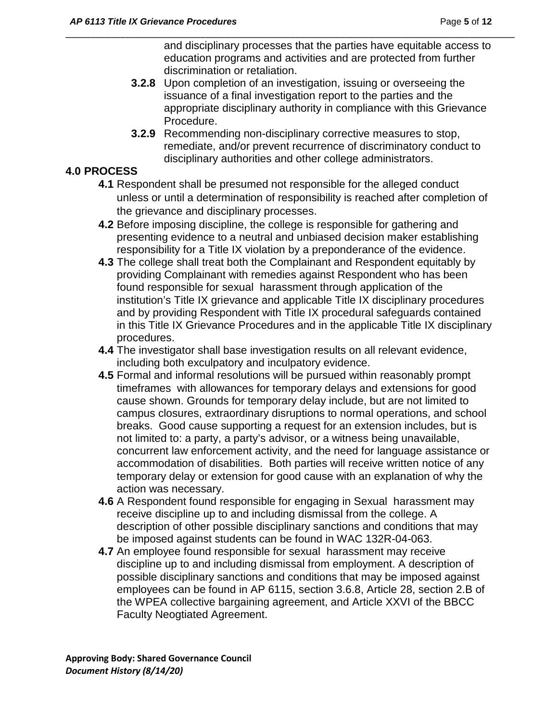and disciplinary processes that the parties have equitable access to education programs and activities and are protected from further discrimination or retaliation.

**3.2.8** Upon completion of an investigation, issuing or overseeing the issuance of a final investigation report to the parties and the appropriate disciplinary authority in compliance with this Grievance Procedure.

\_\_\_\_\_\_\_\_\_\_\_\_\_\_\_\_\_\_\_\_\_\_\_\_\_\_\_\_\_\_\_\_\_\_\_\_\_\_\_\_\_\_\_\_\_\_\_\_\_\_\_\_\_\_\_\_\_\_\_\_\_\_\_\_\_\_\_\_\_\_\_\_\_\_\_\_\_\_\_\_\_\_\_\_\_\_\_\_\_\_

**3.2.9** Recommending non-disciplinary corrective measures to stop, remediate, and/or prevent recurrence of discriminatory conduct to disciplinary authorities and other college administrators.

## **4.0 PROCESS**

- **4.1** Respondent shall be presumed not responsible for the alleged conduct unless or until a determination of responsibility is reached after completion of the grievance and disciplinary processes.
- **4.2** Before imposing discipline, the college is responsible for gathering and presenting evidence to a neutral and unbiased decision maker establishing responsibility for a Title IX violation by a preponderance of the evidence.
- **4.3** The college shall treat both the Complainant and Respondent equitably by providing Complainant with remedies against Respondent who has been found responsible for sexual harassment through application of the institution's Title IX grievance and applicable Title IX disciplinary procedures and by providing Respondent with Title IX procedural safeguards contained in this Title IX Grievance Procedures and in the applicable Title IX disciplinary procedures.
- **4.4** The investigator shall base investigation results on all relevant evidence, including both exculpatory and inculpatory evidence.
- **4.5** Formal and informal resolutions will be pursued within reasonably prompt timeframes with allowances for temporary delays and extensions for good cause shown. Grounds for temporary delay include, but are not limited to campus closures, extraordinary disruptions to normal operations, and school breaks. Good cause supporting a request for an extension includes, but is not limited to: a party, a party's advisor, or a witness being unavailable, concurrent law enforcement activity, and the need for language assistance or accommodation of disabilities. Both parties will receive written notice of any temporary delay or extension for good cause with an explanation of why the action was necessary.
- **4.6** A Respondent found responsible for engaging in Sexual harassment may receive discipline up to and including dismissal from the college. A description of other possible disciplinary sanctions and conditions that may be imposed against students can be found in WAC 132R-04-063.
- **4.7** An employee found responsible for sexual harassment may receive discipline up to and including dismissal from employment. A description of possible disciplinary sanctions and conditions that may be imposed against employees can be found in AP 6115, section 3.6.8, Article 28, section 2.B of the WPEA collective bargaining agreement, and Article XXVI of the BBCC Faculty Neogtiated Agreement.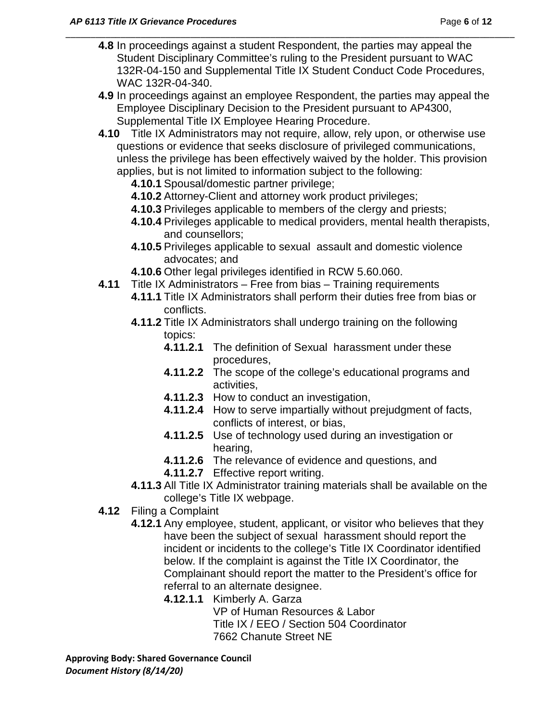**4.8** In proceedings against a student Respondent, the parties may appeal the Student Disciplinary Committee's ruling to the President pursuant to WAC 132R-04-150 and Supplemental Title IX Student Conduct Code Procedures, WAC 132R-04-340.

\_\_\_\_\_\_\_\_\_\_\_\_\_\_\_\_\_\_\_\_\_\_\_\_\_\_\_\_\_\_\_\_\_\_\_\_\_\_\_\_\_\_\_\_\_\_\_\_\_\_\_\_\_\_\_\_\_\_\_\_\_\_\_\_\_\_\_\_\_\_\_\_\_\_\_\_\_\_\_\_\_\_\_\_\_\_\_\_\_\_

- **4.9** In proceedings against an employee Respondent, the parties may appeal the Employee Disciplinary Decision to the President pursuant to AP4300, Supplemental Title IX Employee Hearing Procedure.
- **4.10** Title IX Administrators may not require, allow, rely upon, or otherwise use questions or evidence that seeks disclosure of privileged communications, unless the privilege has been effectively waived by the holder. This provision applies, but is not limited to information subject to the following:
	- **4.10.1** Spousal/domestic partner privilege;
	- **4.10.2** Attorney-Client and attorney work product privileges;
	- **4.10.3** Privileges applicable to members of the clergy and priests;
	- **4.10.4** Privileges applicable to medical providers, mental health therapists, and counsellors;
	- **4.10.5** Privileges applicable to sexual assault and domestic violence advocates; and
	- **4.10.6** Other legal privileges identified in RCW 5.60.060.
- **4.11** Title IX Administrators Free from bias Training requirements
	- **4.11.1** Title IX Administrators shall perform their duties free from bias or conflicts.
	- **4.11.2** Title IX Administrators shall undergo training on the following topics:
		- **4.11.2.1** The definition of Sexual harassment under these procedures,
		- **4.11.2.2** The scope of the college's educational programs and activities,
		- **4.11.2.3** How to conduct an investigation,
		- **4.11.2.4** How to serve impartially without prejudgment of facts, conflicts of interest, or bias,
		- **4.11.2.5** Use of technology used during an investigation or hearing,
		- **4.11.2.6** The relevance of evidence and questions, and
		- **4.11.2.7** Effective report writing.
	- **4.11.3** All Title IX Administrator training materials shall be available on the college's Title IX webpage.
- **4.12** Filing a Complaint
	- **4.12.1** Any employee, student, applicant, or visitor who believes that they have been the subject of sexual harassment should report the incident or incidents to the college's Title IX Coordinator identified below. If the complaint is against the Title IX Coordinator, the Complainant should report the matter to the President's office for referral to an alternate designee.
		- **4.12.1.1** Kimberly A. Garza

VP of Human Resources & Labor Title IX / EEO / Section 504 Coordinator 7662 Chanute Street NE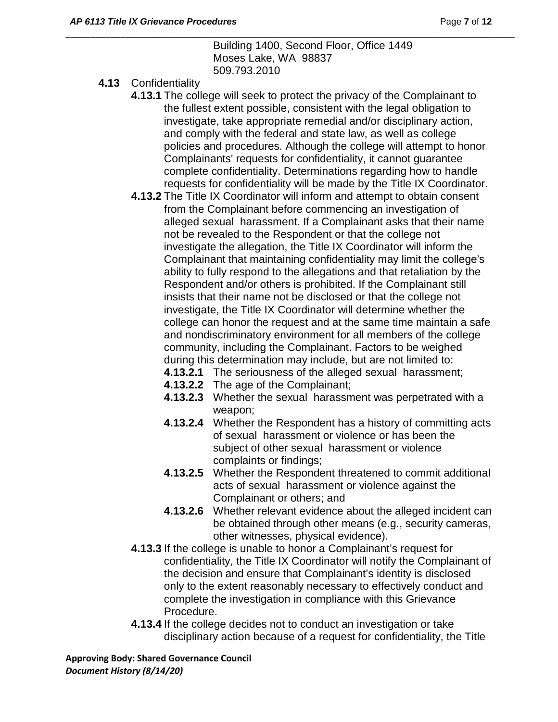Building 1400, Second Floor, Office 1449 Moses Lake, WA 98837 509.793.2010

\_\_\_\_\_\_\_\_\_\_\_\_\_\_\_\_\_\_\_\_\_\_\_\_\_\_\_\_\_\_\_\_\_\_\_\_\_\_\_\_\_\_\_\_\_\_\_\_\_\_\_\_\_\_\_\_\_\_\_\_\_\_\_\_\_\_\_\_\_\_\_\_\_\_\_\_\_\_\_\_\_\_\_\_\_\_\_\_\_\_

- **4.13** Confidentiality
	- **4.13.1** The college will seek to protect the privacy of the Complainant to the fullest extent possible, consistent with the legal obligation to investigate, take appropriate remedial and/or disciplinary action, and comply with the federal and state law, as well as college policies and procedures. Although the college will attempt to honor Complainants' requests for confidentiality, it cannot guarantee complete confidentiality. Determinations regarding how to handle requests for confidentiality will be made by the Title IX Coordinator.
	- **4.13.2** The Title IX Coordinator will inform and attempt to obtain consent from the Complainant before commencing an investigation of alleged sexual harassment. If a Complainant asks that their name not be revealed to the Respondent or that the college not investigate the allegation, the Title IX Coordinator will inform the Complainant that maintaining confidentiality may limit the college's ability to fully respond to the allegations and that retaliation by the Respondent and/or others is prohibited. If the Complainant still insists that their name not be disclosed or that the college not investigate, the Title IX Coordinator will determine whether the college can honor the request and at the same time maintain a safe and nondiscriminatory environment for all members of the college community, including the Complainant. Factors to be weighed during this determination may include, but are not limited to:
		- **4.13.2.1** The seriousness of the alleged sexual harassment;
		- **4.13.2.2** The age of the Complainant;
		- **4.13.2.3** Whether the sexual harassment was perpetrated with a weapon;
		- **4.13.2.4** Whether the Respondent has a history of committing acts of sexual harassment or violence or has been the subject of other sexual harassment or violence complaints or findings;
		- **4.13.2.5** Whether the Respondent threatened to commit additional acts of sexual harassment or violence against the Complainant or others; and
		- **4.13.2.6** Whether relevant evidence about the alleged incident can be obtained through other means (e.g., security cameras, other witnesses, physical evidence).
	- **4.13.3** If the college is unable to honor a Complainant's request for confidentiality, the Title IX Coordinator will notify the Complainant of the decision and ensure that Complainant's identity is disclosed only to the extent reasonably necessary to effectively conduct and complete the investigation in compliance with this Grievance Procedure.
	- **4.13.4** If the college decides not to conduct an investigation or take disciplinary action because of a request for confidentiality, the Title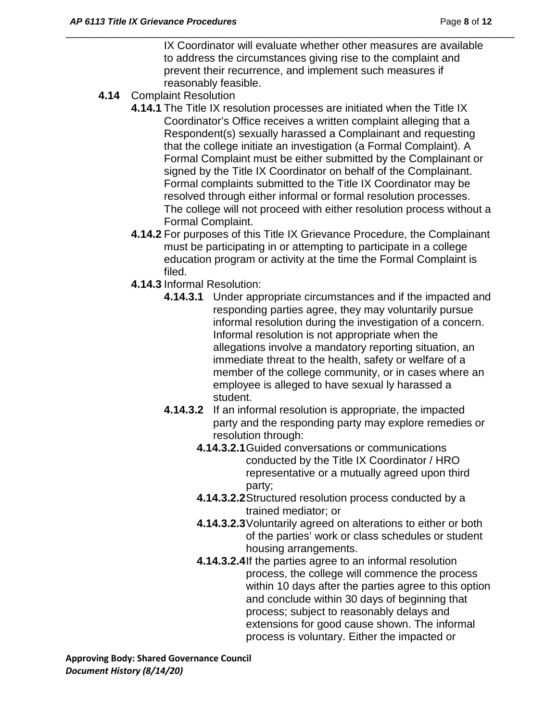IX Coordinator will evaluate whether other measures are available to address the circumstances giving rise to the complaint and prevent their recurrence, and implement such measures if reasonably feasible.

\_\_\_\_\_\_\_\_\_\_\_\_\_\_\_\_\_\_\_\_\_\_\_\_\_\_\_\_\_\_\_\_\_\_\_\_\_\_\_\_\_\_\_\_\_\_\_\_\_\_\_\_\_\_\_\_\_\_\_\_\_\_\_\_\_\_\_\_\_\_\_\_\_\_\_\_\_\_\_\_\_\_\_\_\_\_\_\_\_\_

- **4.14** Complaint Resolution
	- **4.14.1** The Title IX resolution processes are initiated when the Title IX Coordinator's Office receives a written complaint alleging that a Respondent(s) sexually harassed a Complainant and requesting that the college initiate an investigation (a Formal Complaint). A Formal Complaint must be either submitted by the Complainant or signed by the Title IX Coordinator on behalf of the Complainant. Formal complaints submitted to the Title IX Coordinator may be resolved through either informal or formal resolution processes. The college will not proceed with either resolution process without a Formal Complaint.
	- **4.14.2** For purposes of this Title IX Grievance Procedure, the Complainant must be participating in or attempting to participate in a college education program or activity at the time the Formal Complaint is filed.
	- **4.14.3** Informal Resolution:
		- **4.14.3.1** Under appropriate circumstances and if the impacted and responding parties agree, they may voluntarily pursue informal resolution during the investigation of a concern. Informal resolution is not appropriate when the allegations involve a mandatory reporting situation, an immediate threat to the health, safety or welfare of a member of the college community, or in cases where an employee is alleged to have sexual ly harassed a student.
		- **4.14.3.2** If an informal resolution is appropriate, the impacted party and the responding party may explore remedies or resolution through:
			- **4.14.3.2.1**Guided conversations or communications conducted by the Title IX Coordinator / HRO representative or a mutually agreed upon third party;
			- **4.14.3.2.2**Structured resolution process conducted by a trained mediator; or
			- **4.14.3.2.3**Voluntarily agreed on alterations to either or both of the parties' work or class schedules or student housing arrangements.
			- **4.14.3.2.4**If the parties agree to an informal resolution process, the college will commence the process within 10 days after the parties agree to this option and conclude within 30 days of beginning that process; subject to reasonably delays and extensions for good cause shown. The informal process is voluntary. Either the impacted or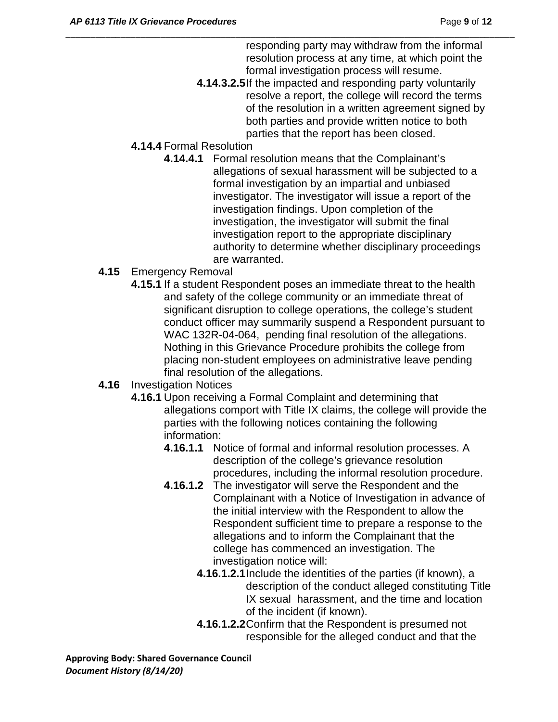responding party may withdraw from the informal resolution process at any time, at which point the formal investigation process will resume.

**4.14.3.2.5**If the impacted and responding party voluntarily resolve a report, the college will record the terms of the resolution in a written agreement signed by both parties and provide written notice to both parties that the report has been closed.

\_\_\_\_\_\_\_\_\_\_\_\_\_\_\_\_\_\_\_\_\_\_\_\_\_\_\_\_\_\_\_\_\_\_\_\_\_\_\_\_\_\_\_\_\_\_\_\_\_\_\_\_\_\_\_\_\_\_\_\_\_\_\_\_\_\_\_\_\_\_\_\_\_\_\_\_\_\_\_\_\_\_\_\_\_\_\_\_\_\_

- **4.14.4** Formal Resolution
	- **4.14.4.1** Formal resolution means that the Complainant's allegations of sexual harassment will be subjected to a formal investigation by an impartial and unbiased investigator. The investigator will issue a report of the investigation findings. Upon completion of the investigation, the investigator will submit the final investigation report to the appropriate disciplinary authority to determine whether disciplinary proceedings are warranted.
- **4.15** Emergency Removal
	- **4.15.1** If a student Respondent poses an immediate threat to the health and safety of the college community or an immediate threat of significant disruption to college operations, the college's student conduct officer may summarily suspend a Respondent pursuant to WAC 132R-04-064, pending final resolution of the allegations. Nothing in this Grievance Procedure prohibits the college from placing non-student employees on administrative leave pending final resolution of the allegations.
- **4.16** Investigation Notices
	- **4.16.1** Upon receiving a Formal Complaint and determining that allegations comport with Title IX claims, the college will provide the parties with the following notices containing the following information:
		- **4.16.1.1** Notice of formal and informal resolution processes. A description of the college's grievance resolution procedures, including the informal resolution procedure.
		- **4.16.1.2** The investigator will serve the Respondent and the Complainant with a Notice of Investigation in advance of the initial interview with the Respondent to allow the Respondent sufficient time to prepare a response to the allegations and to inform the Complainant that the college has commenced an investigation. The investigation notice will:
			- **4.16.1.2.1**Include the identities of the parties (if known), a description of the conduct alleged constituting Title IX sexual harassment, and the time and location of the incident (if known).
			- **4.16.1.2.2**Confirm that the Respondent is presumed not responsible for the alleged conduct and that the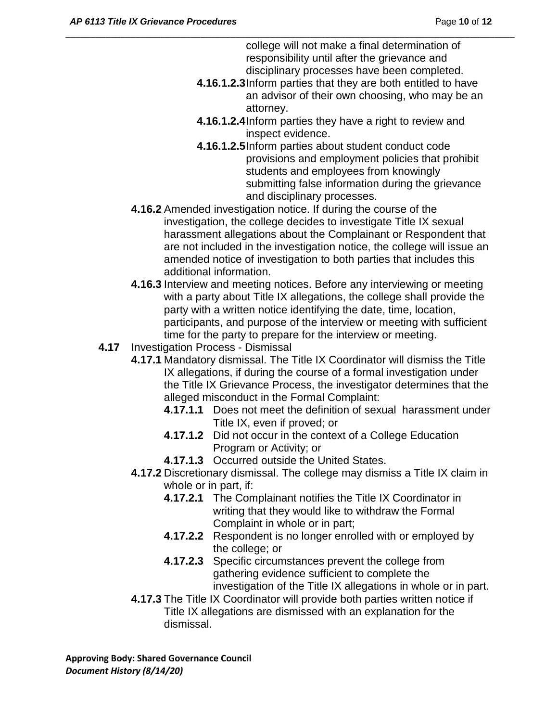college will not make a final determination of responsibility until after the grievance and disciplinary processes have been completed.

- **4.16.1.2.3**Inform parties that they are both entitled to have an advisor of their own choosing, who may be an attorney.
- **4.16.1.2.4**Inform parties they have a right to review and inspect evidence.
- **4.16.1.2.5**Inform parties about student conduct code provisions and employment policies that prohibit students and employees from knowingly submitting false information during the grievance and disciplinary processes.
- **4.16.2** Amended investigation notice. If during the course of the investigation, the college decides to investigate Title IX sexual harassment allegations about the Complainant or Respondent that are not included in the investigation notice, the college will issue an amended notice of investigation to both parties that includes this additional information.

\_\_\_\_\_\_\_\_\_\_\_\_\_\_\_\_\_\_\_\_\_\_\_\_\_\_\_\_\_\_\_\_\_\_\_\_\_\_\_\_\_\_\_\_\_\_\_\_\_\_\_\_\_\_\_\_\_\_\_\_\_\_\_\_\_\_\_\_\_\_\_\_\_\_\_\_\_\_\_\_\_\_\_\_\_\_\_\_\_\_

- **4.16.3** Interview and meeting notices. Before any interviewing or meeting with a party about Title IX allegations, the college shall provide the party with a written notice identifying the date, time, location, participants, and purpose of the interview or meeting with sufficient time for the party to prepare for the interview or meeting.
- **4.17** Investigation Process Dismissal
	- **4.17.1** Mandatory dismissal. The Title IX Coordinator will dismiss the Title IX allegations, if during the course of a formal investigation under the Title IX Grievance Process, the investigator determines that the alleged misconduct in the Formal Complaint:
		- **4.17.1.1** Does not meet the definition of sexual harassment under Title IX, even if proved; or
		- **4.17.1.2** Did not occur in the context of a College Education Program or Activity; or
		- **4.17.1.3** Occurred outside the United States.
	- **4.17.2** Discretionary dismissal. The college may dismiss a Title IX claim in whole or in part, if:
		- **4.17.2.1** The Complainant notifies the Title IX Coordinator in writing that they would like to withdraw the Formal Complaint in whole or in part;
		- **4.17.2.2** Respondent is no longer enrolled with or employed by the college; or
		- **4.17.2.3** Specific circumstances prevent the college from gathering evidence sufficient to complete the investigation of the Title IX allegations in whole or in part.
	- **4.17.3** The Title IX Coordinator will provide both parties written notice if Title IX allegations are dismissed with an explanation for the dismissal.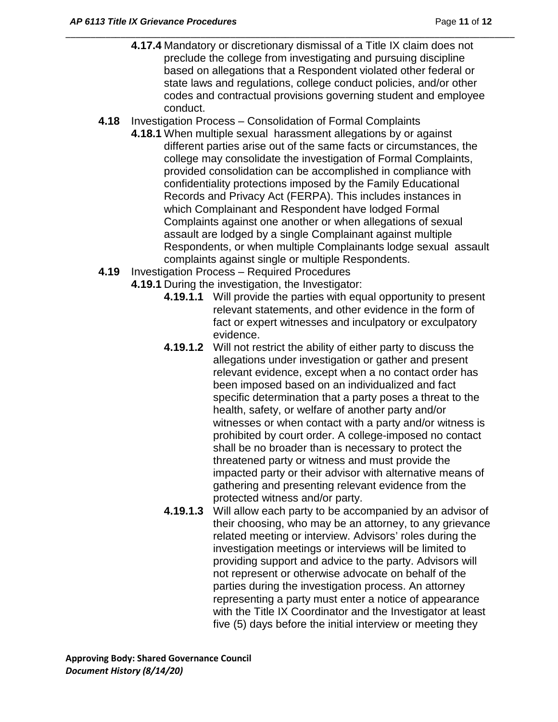**4.17.4** Mandatory or discretionary dismissal of a Title IX claim does not preclude the college from investigating and pursuing discipline based on allegations that a Respondent violated other federal or state laws and regulations, college conduct policies, and/or other codes and contractual provisions governing student and employee conduct.

- **4.18** Investigation Process Consolidation of Formal Complaints
	- **4.18.1** When multiple sexual harassment allegations by or against different parties arise out of the same facts or circumstances, the college may consolidate the investigation of Formal Complaints, provided consolidation can be accomplished in compliance with confidentiality protections imposed by the Family Educational Records and Privacy Act (FERPA). This includes instances in which Complainant and Respondent have lodged Formal Complaints against one another or when allegations of sexual assault are lodged by a single Complainant against multiple Respondents, or when multiple Complainants lodge sexual assault complaints against single or multiple Respondents.
- **4.19** Investigation Process Required Procedures
	- **4.19.1** During the investigation, the Investigator:
		- **4.19.1.1** Will provide the parties with equal opportunity to present relevant statements, and other evidence in the form of fact or expert witnesses and inculpatory or exculpatory evidence.
		- **4.19.1.2** Will not restrict the ability of either party to discuss the allegations under investigation or gather and present relevant evidence, except when a no contact order has been imposed based on an individualized and fact specific determination that a party poses a threat to the health, safety, or welfare of another party and/or witnesses or when contact with a party and/or witness is prohibited by court order. A college-imposed no contact shall be no broader than is necessary to protect the threatened party or witness and must provide the impacted party or their advisor with alternative means of gathering and presenting relevant evidence from the protected witness and/or party.
		- **4.19.1.3** Will allow each party to be accompanied by an advisor of their choosing, who may be an attorney, to any grievance related meeting or interview. Advisors' roles during the investigation meetings or interviews will be limited to providing support and advice to the party. Advisors will not represent or otherwise advocate on behalf of the parties during the investigation process. An attorney representing a party must enter a notice of appearance with the Title IX Coordinator and the Investigator at least five (5) days before the initial interview or meeting they